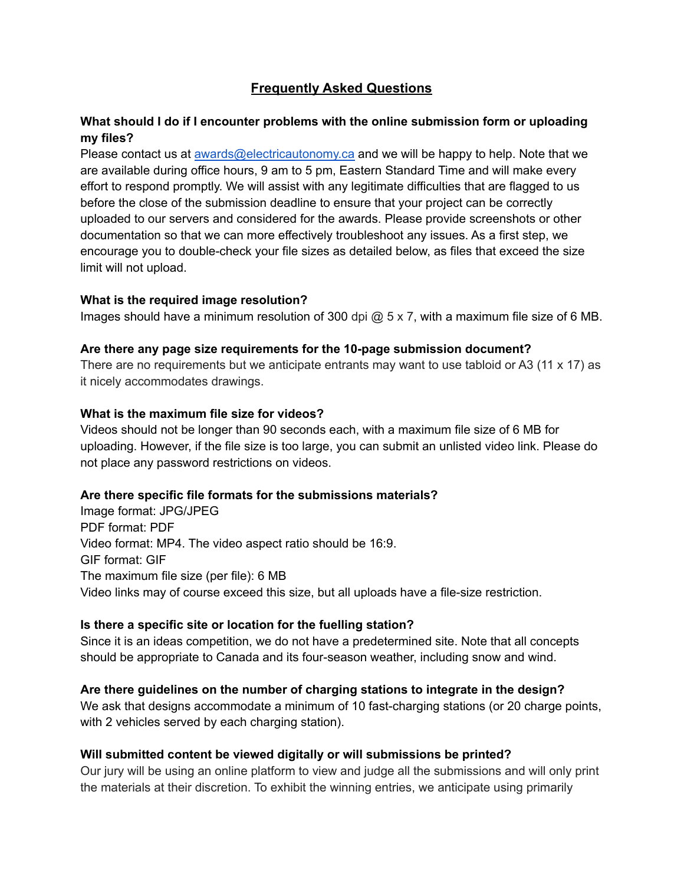# **Frequently Asked Questions**

# **What should I do if I encounter problems with the online submission form or uploading my files?**

Please contact us at [awards@electricautonomy.ca](mailto:awards@electricautonomy.ca) and we will be happy to help. Note that we are available during office hours, 9 am to 5 pm, Eastern Standard Time and will make every effort to respond promptly. We will assist with any legitimate difficulties that are flagged to us before the close of the submission deadline to ensure that your project can be correctly uploaded to our servers and considered for the awards. Please provide screenshots or other documentation so that we can more effectively troubleshoot any issues. As a first step, we encourage you to double-check your file sizes as detailed below, as files that exceed the size limit will not upload.

## **What is the required image resolution?**

Images should have a minimum resolution of 300 dpi @ 5 x 7, with a maximum file size of 6 MB.

## **Are there any page size requirements for the 10-page submission document?**

There are no requirements but we anticipate entrants may want to use tabloid or A3 (11 x 17) as it nicely accommodates drawings.

## **What is the maximum file size for videos?**

Videos should not be longer than 90 seconds each, with a maximum file size of 6 MB for uploading. However, if the file size is too large, you can submit an unlisted video link. Please do not place any password restrictions on videos.

## **Are there specific file formats for the submissions materials?**

Image format: JPG/JPEG PDF format: PDF Video format: MP4. The video aspect ratio should be 16:9. GIF format: GIF The maximum file size (per file): 6 MB Video links may of course exceed this size, but all uploads have a file-size restriction.

#### **Is there a specific site or location for the fuelling station?**

Since it is an ideas competition, we do not have a predetermined site. Note that all concepts should be appropriate to Canada and its four-season weather, including snow and wind.

## **Are there guidelines on the number of charging stations to integrate in the design?**

We ask that designs accommodate a minimum of 10 fast-charging stations (or 20 charge points, with 2 vehicles served by each charging station).

#### **Will submitted content be viewed digitally or will submissions be printed?**

Our jury will be using an online platform to view and judge all the submissions and will only print the materials at their discretion. To exhibit the winning entries, we anticipate using primarily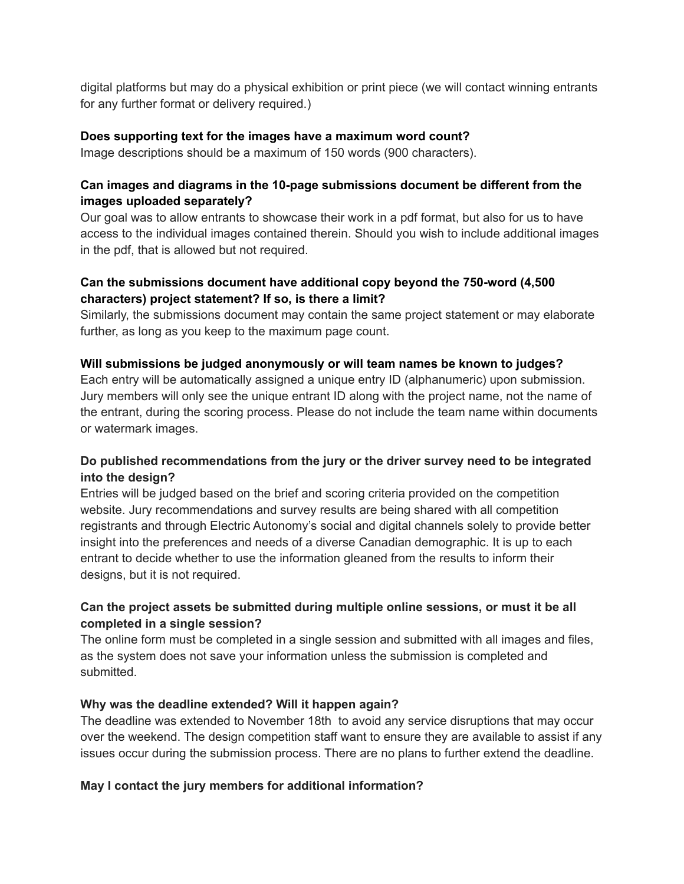digital platforms but may do a physical exhibition or print piece (we will contact winning entrants for any further format or delivery required.)

## **Does supporting text for the images have a maximum word count?**

Image descriptions should be a maximum of 150 words (900 characters).

# **Can images and diagrams in the 10-page submissions document be different from the images uploaded separately?**

Our goal was to allow entrants to showcase their work in a pdf format, but also for us to have access to the individual images contained therein. Should you wish to include additional images in the pdf, that is allowed but not required.

# **Can the submissions document have additional copy beyond the 750-word (4,500 characters) project statement? If so, is there a limit?**

Similarly, the submissions document may contain the same project statement or may elaborate further, as long as you keep to the maximum page count.

## **Will submissions be judged anonymously or will team names be known to judges?**

Each entry will be automatically assigned a unique entry ID (alphanumeric) upon submission. Jury members will only see the unique entrant ID along with the project name, not the name of the entrant, during the scoring process. Please do not include the team name within documents or watermark images.

# **Do published recommendations from the jury or the driver survey need to be integrated into the design?**

Entries will be judged based on the brief and scoring criteria provided on the competition website. Jury recommendations and survey results are being shared with all competition registrants and through Electric Autonomy's social and digital channels solely to provide better insight into the preferences and needs of a diverse Canadian demographic. It is up to each entrant to decide whether to use the information gleaned from the results to inform their designs, but it is not required.

# **Can the project assets be submitted during multiple online sessions, or must it be all completed in a single session?**

The online form must be completed in a single session and submitted with all images and files, as the system does not save your information unless the submission is completed and submitted.

## **Why was the deadline extended? Will it happen again?**

The deadline was extended to November 18th to avoid any service disruptions that may occur over the weekend. The design competition staff want to ensure they are available to assist if any issues occur during the submission process. There are no plans to further extend the deadline.

# **May I contact the jury members for additional information?**